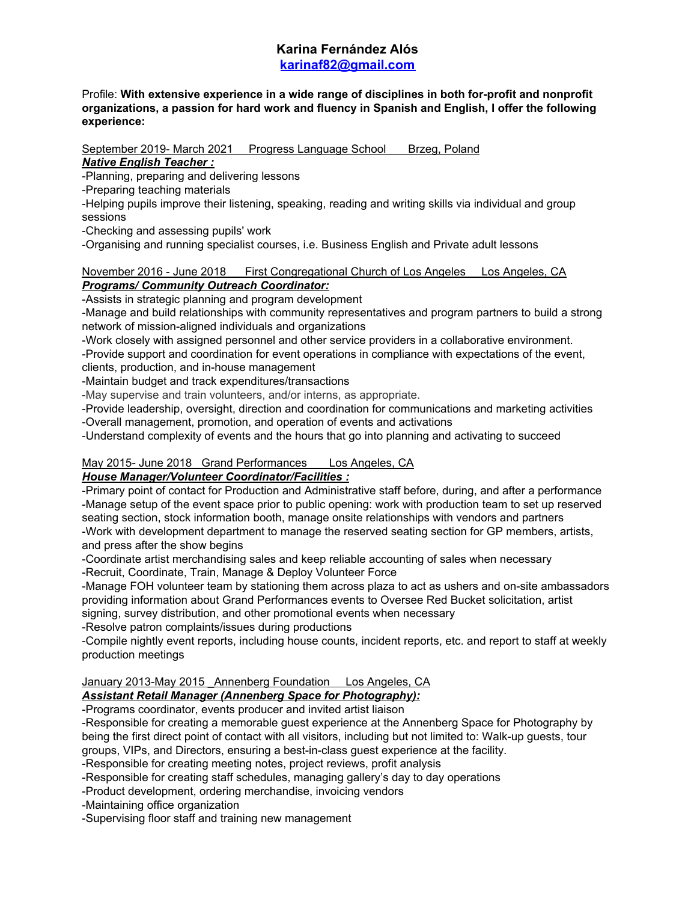## **Karina Fernández Alós [karinaf82@gmail.com](mailto:karinaf82@gmail.com)**

#### Profile: **With extensive experience in a wide range of disciplines in both for-profit and nonprofit organizations, a passion for hard work and fluency in Spanish and English, I offer the following experience:**

September 2019- March 2021 Progress Language School Brzeg, Poland

*Native English Teacher :*

-Planning, preparing and delivering lessons

-Preparing teaching materials

-Helping pupils improve their listening, speaking, reading and writing skills via individual and group sessions

-Checking and assessing pupils' work

-Organising and running specialist courses, i.e. Business English and Private adult lessons

#### November 2016 - June 2018 First Congregational Church of Los Angeles Los Angeles, CA *Programs/ Community Outreach Coordinator:*

-Assists in strategic planning and program development

-Manage and build relationships with community representatives and program partners to build a strong network of mission-aligned individuals and organizations

-Work closely with assigned personnel and other service providers in a collaborative environment.

-Provide support and coordination for event operations in compliance with expectations of the event, clients, production, and in-house management

-Maintain budget and track expenditures/transactions

-May supervise and train volunteers, and/or interns, as appropriate.

-Provide leadership, oversight, direction and coordination for communications and marketing activities -Overall management, promotion, and operation of events and activations

-Understand complexity of events and the hours that go into planning and activating to succeed

# May 2015- June 2018 Grand Performances Los Angeles, CA

## *House Manager/Volunteer Coordinator/Facilities :*

-Primary point of contact for Production and Administrative staff before, during, and after a performance -Manage setup of the event space prior to public opening: work with production team to set up reserved seating section, stock information booth, manage onsite relationships with vendors and partners -Work with development department to manage the reserved seating section for GP members, artists, and press after the show begins

-Coordinate artist merchandising sales and keep reliable accounting of sales when necessary

-Recruit, Coordinate, Train, Manage & Deploy Volunteer Force

-Manage FOH volunteer team by stationing them across plaza to act as ushers and on-site ambassadors providing information about Grand Performances events to Oversee Red Bucket solicitation, artist signing, survey distribution, and other promotional events when necessary

-Resolve patron complaints/issues during productions

-Compile nightly event reports, including house counts, incident reports, etc. and report to staff at weekly production meetings

## January 2013-May 2015 Annenberg Foundation Los Angeles, CA

## *Assistant Retail Manager (Annenberg Space for Photography):*

-Programs coordinator, events producer and invited artist liaison

-Responsible for creating a memorable guest experience at the Annenberg Space for Photography by being the first direct point of contact with all visitors, including but not limited to: Walk-up guests, tour groups, VIPs, and Directors, ensuring a best-in-class guest experience at the facility.

-Responsible for creating meeting notes, project reviews, profit analysis

-Responsible for creating staff schedules, managing gallery's day to day operations

-Product development, ordering merchandise, invoicing vendors

-Maintaining office organization

-Supervising floor staff and training new management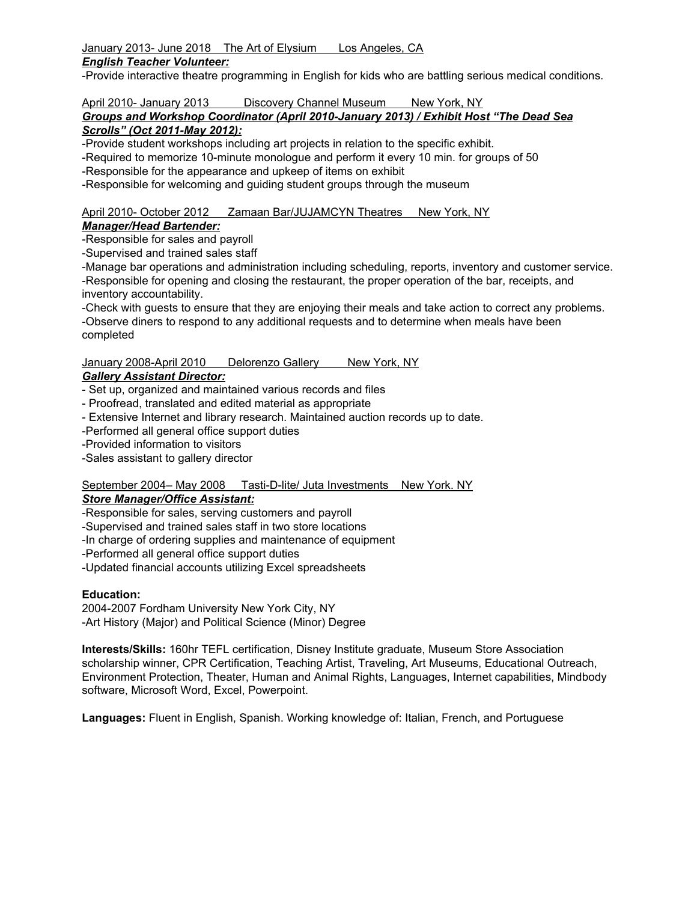## January 2013- June 2018 The Art of Elysium Los Angeles, CA

### *English Teacher Volunteer:*

-Provide interactive theatre programming in English for kids who are battling serious medical conditions.

## April 2010- January 2013 Discovery Channel Museum New York, NY

#### *Groups and Workshop Coordinator (April 2010-January 2013) / Exhibit Host "The Dead Sea Scrolls" (Oct 2011-May 2012):*

-Provide student workshops including art projects in relation to the specific exhibit.

-Required to memorize 10-minute monologue and perform it every 10 min. for groups of 50

-Responsible for the appearance and upkeep of items on exhibit

-Responsible for welcoming and guiding student groups through the museum

## April 2010- October 2012 Zamaan Bar/JUJAMCYN Theatres New York, NY

## *Manager/Head Bartender:*

-Responsible for sales and payroll

-Supervised and trained sales staff

-Manage bar operations and administration including scheduling, reports, inventory and customer service. -Responsible for opening and closing the restaurant, the proper operation of the bar, receipts, and inventory accountability.

-Check with guests to ensure that they are enjoying their meals and take action to correct any problems. -Observe diners to respond to any additional requests and to determine when meals have been completed

## January 2008-April 2010 Delorenzo Gallery New York, NY

## *Gallery Assistant Director:*

- Set up, organized and maintained various records and files
- Proofread, translated and edited material as appropriate
- Extensive Internet and library research. Maintained auction records up to date.
- -Performed all general office support duties

-Provided information to visitors

-Sales assistant to gallery director

#### September 2004– May 2008 Tasti-D-lite/ Juta Investments New York. NY *Store Manager/Office Assistant:*

-Responsible for sales, serving customers and payroll

-Supervised and trained sales staff in two store locations

-In charge of ordering supplies and maintenance of equipment

-Performed all general office support duties

-Updated financial accounts utilizing Excel spreadsheets

## **Education:**

2004-2007 Fordham University New York City, NY -Art History (Major) and Political Science (Minor) Degree

**Interests/Skills:** 160hr TEFL certification, Disney Institute graduate, Museum Store Association scholarship winner, CPR Certification, Teaching Artist, Traveling, Art Museums, Educational Outreach, Environment Protection, Theater, Human and Animal Rights, Languages, Internet capabilities, Mindbody software, Microsoft Word, Excel, Powerpoint.

**Languages:** Fluent in English, Spanish. Working knowledge of: Italian, French, and Portuguese